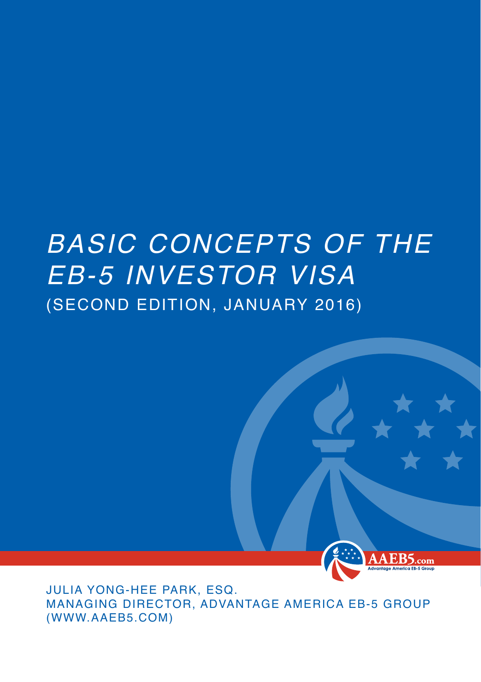## *BASIC CONCEPTS OF THE EB-5 INVESTOR VISA* (SECOND EDITION, JANUARY 2016)



Julia Yong-hee Park, Esq. MANAGING DIRECTOR, ADVANTAGE AMERICA EB-5 GROUP (www.aaeb5.com)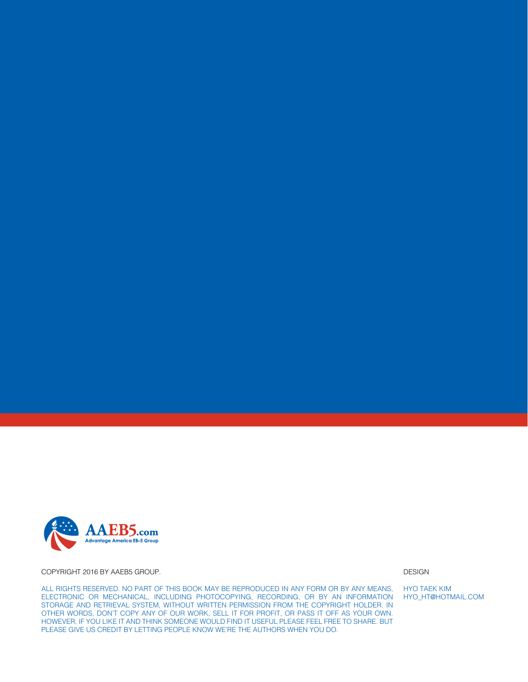

Copyright 2016 by AAEB5 Group.

All rights reserved. No part of this book may be reproduced in any form or by any means, electronic or mechanical, including photocopying, recording, or by an information storage and retrieval system, without written permission from the copyright holder. In other words, don't copy any of our work, sell it for profit, or pass it off as your own. However, if you like it and think someone would find it useful please feel free to share. But please give us credit by letting people know we're the authors when you do.

DESIGN

HYO TAEK KIM HYO\_ht@hotmail.coM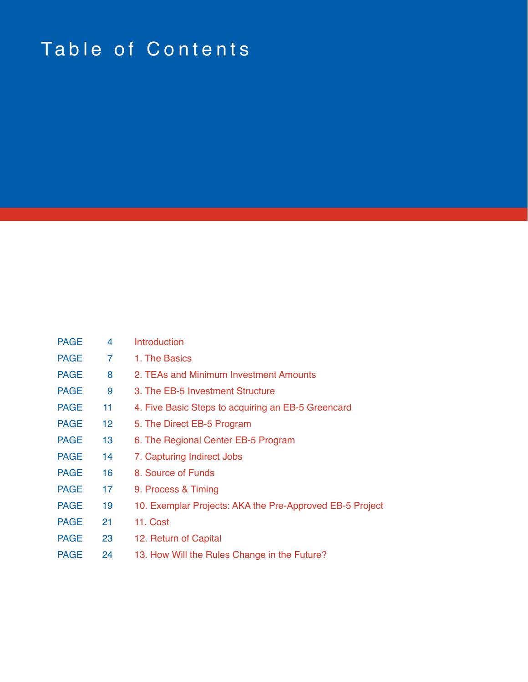# Table of Contents

| <b>PAGE</b> | 4              | Introduction                                             |
|-------------|----------------|----------------------------------------------------------|
| <b>PAGE</b> | $\overline{7}$ | 1. The Basics                                            |
| <b>PAGE</b> | 8              | 2. TEAs and Minimum Investment Amounts                   |
| <b>PAGE</b> | 9              | 3. The EB-5 Investment Structure                         |
| <b>PAGE</b> | 11             | 4. Five Basic Steps to acquiring an EB-5 Greencard       |
| <b>PAGE</b> | 12             | 5. The Direct EB-5 Program                               |
| <b>PAGE</b> | 13             | 6. The Regional Center EB-5 Program                      |
| <b>PAGE</b> | 14             | 7. Capturing Indirect Jobs                               |
| <b>PAGE</b> | 16             | 8. Source of Funds                                       |
| <b>PAGE</b> | 17             | 9. Process & Timing                                      |
| <b>PAGE</b> | 19             | 10. Exemplar Projects: AKA the Pre-Approved EB-5 Project |
| <b>PAGE</b> | 21             | 11. Cost                                                 |
| <b>PAGE</b> | 23             | 12. Return of Capital                                    |
| <b>PAGE</b> | 24             | 13. How Will the Rules Change in the Future?             |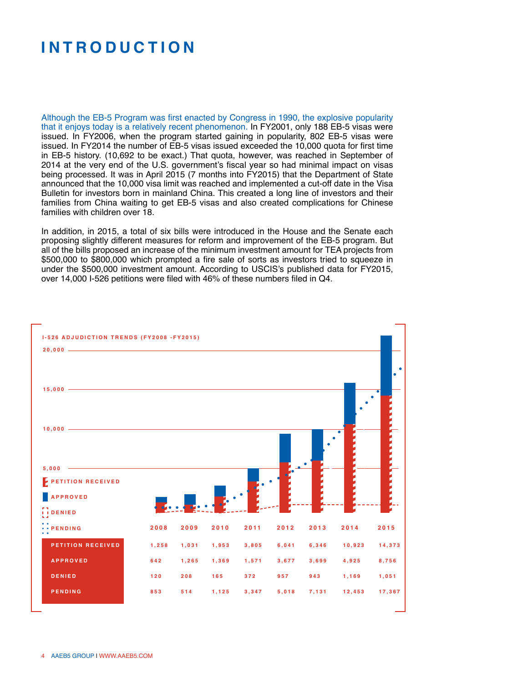### **I ntroduction**

Although the EB-5 Program was first enacted by Congress in 1990, the explosive popularity that it enjoys today is a relatively recent phenomenon. In FY2001, only 188 EB-5 visas were issued. In FY2006, when the program started gaining in popularity, 802 EB-5 visas were issued. In FY2014 the number of EB-5 visas issued exceeded the 10,000 quota for first time in EB-5 history. (10,692 to be exact.) That quota, however, was reached in September of 2014 at the very end of the U.S. government's fiscal year so had minimal impact on visas being processed. It was in April 2015 (7 months into FY2015) that the Department of State announced that the 10,000 visa limit was reached and implemented a cut-off date in the Visa Bulletin for investors born in mainland China. This created a long line of investors and their families from China waiting to get EB-5 visas and also created complications for Chinese families with children over 18

In addition, in 2015, a total of six bills were introduced in the House and the Senate each proposing slightly different measures for reform and improvement of the EB-5 program. But all of the bills proposed an increase of the minimum investment amount for TEA projects from \$500,000 to \$800,000 which prompted a fire sale of sorts as investors tried to squeeze in under the \$500,000 investment amount. According to USCIS's published data for FY2015, over 14,000 I-526 petitions were filed with 46% of these numbers filed in Q4.

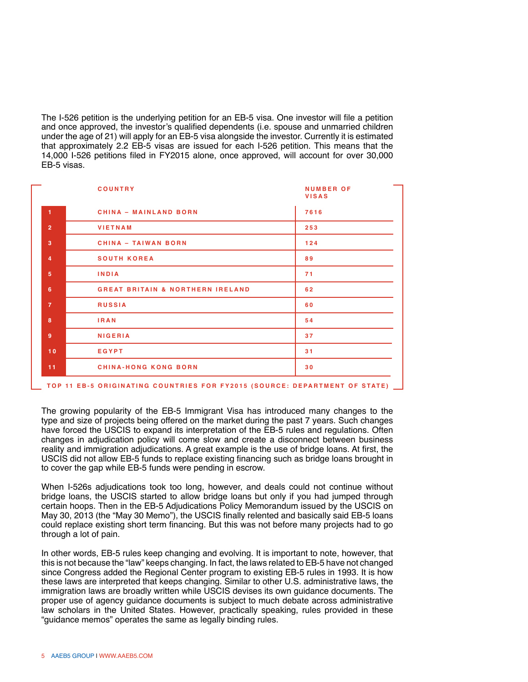The I-526 petition is the underlying petition for an EB-5 visa. One investor will file a petition and once approved, the investor's qualified dependents (i.e. spouse and unmarried children under the age of 21) will apply for an EB-5 visa alongside the investor. Currently it is estimated that approximately 2.2 EB-5 visas are issued for each I-526 petition. This means that the 14,000 I-526 petitions filed in FY2015 alone, once approved, will account for over 30,000 EB-5 visas.

|                | <b>COUNTRY</b>                              | <b>NUMBER OF</b><br><b>VISAS</b> |
|----------------|---------------------------------------------|----------------------------------|
| $\overline{1}$ | <b>CHINA - MAINLAND BORN</b>                | 7616                             |
| $\overline{2}$ | <b>VIETNAM</b>                              | 253                              |
| 3              | <b>CHINA - TAIWAN BORN</b>                  | 124                              |
| $\overline{4}$ | <b>SOUTH KOREA</b>                          | 89                               |
| 5              | <b>INDIA</b>                                | 71                               |
| 6              | <b>GREAT BRITAIN &amp; NORTHERN IRELAND</b> | 62                               |
| $\overline{7}$ | <b>RUSSIA</b>                               | 60                               |
| 8              | <b>IRAN</b>                                 | 54                               |
| 9              | <b>NIGERIA</b>                              | 37                               |
| 10             | EGYPT                                       | 31                               |
| 11             | <b>CHINA-HONG KONG BORN</b>                 | 30                               |
|                |                                             |                                  |

TOP 11 EB-5 ORIGINATING COUNTRIES FOR FY2015 (SOURCE: DEPARTMENT OF STATE)

The growing popularity of the EB-5 Immigrant Visa has introduced many changes to the type and size of projects being offered on the market during the past 7 years. Such changes have forced the USCIS to expand its interpretation of the EB-5 rules and regulations. Often changes in adjudication policy will come slow and create a disconnect between business reality and immigration adjudications. A great example is the use of bridge loans. At first, the USCIS did not allow EB-5 funds to replace existing financing such as bridge loans brought in to cover the gap while EB-5 funds were pending in escrow.

When I-526s adjudications took too long, however, and deals could not continue without bridge loans, the USCIS started to allow bridge loans but only if you had jumped through certain hoops. Then in the EB-5 Adjudications Policy Memorandum issued by the USCIS on May 30, 2013 (the "May 30 Memo"), the USCIS finally relented and basically said EB-5 loans could replace existing short term financing. But this was not before many projects had to go through a lot of pain.

In other words, EB-5 rules keep changing and evolving. It is important to note, however, that this is not because the "law" keeps changing. In fact, the laws related to EB-5 have not changed since Congress added the Regional Center program to existing EB-5 rules in 1993. It is how these laws are interpreted that keeps changing. Similar to other U.S. administrative laws, the immigration laws are broadly written while USCIS devises its own guidance documents. The proper use of agency guidance documents is subject to much debate across administrative law scholars in the United States. However, practically speaking, rules provided in these "guidance memos" operates the same as legally binding rules.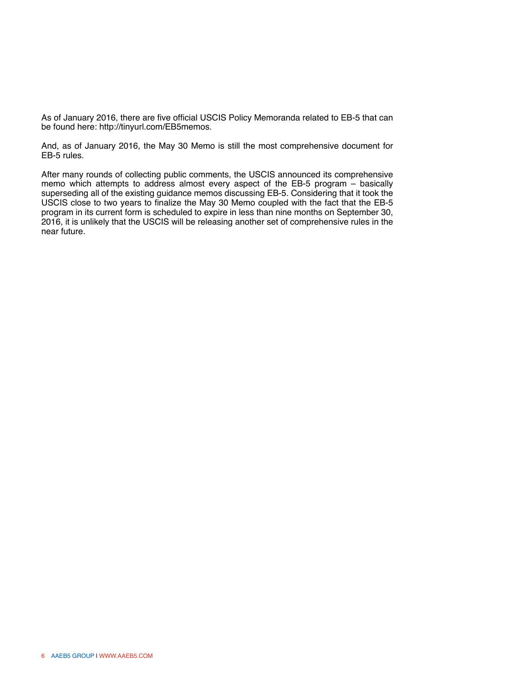As of January 2016, there are five official USCIS Policy Memoranda related to EB-5 that can be found here: http://tinyurl.com/EB5memos.

And, as of January 2016, the May 30 Memo is still the most comprehensive document for EB-5 rules.

After many rounds of collecting public comments, the USCIS announced its comprehensive memo which attempts to address almost every aspect of the EB-5 program – basically superseding all of the existing guidance memos discussing EB-5. Considering that it took the USCIS close to two years to finalize the May 30 Memo coupled with the fact that the EB-5 program in its current form is scheduled to expire in less than nine months on September 30, 2016, it is unlikely that the USCIS will be releasing another set of comprehensive rules in the near future.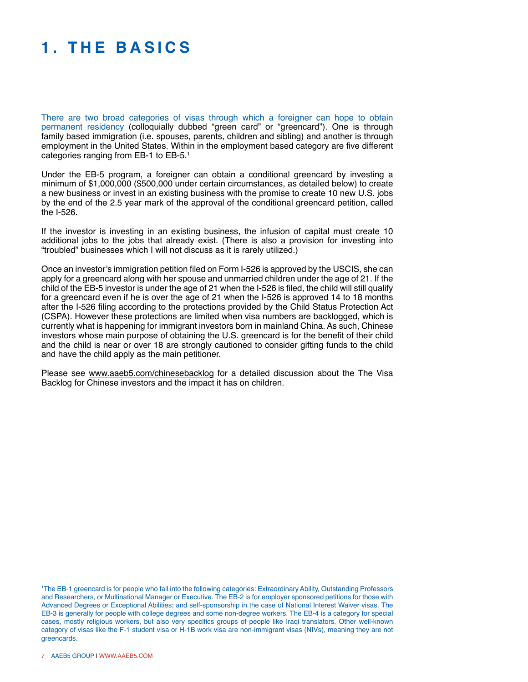### **1. T h e B asics**

There are two broad categories of visas through which a foreigner can hope to obtain permanent residency (colloquially dubbed "green card" or "greencard"). One is through family based immigration (i.e. spouses, parents, children and sibling) and another is through employment in the United States. Within in the employment based category are five different categories ranging from EB-1 to EB-5.1

Under the EB-5 program, a foreigner can obtain a conditional greencard by investing a minimum of \$1,000,000 (\$500,000 under certain circumstances, as detailed below) to create a new business or invest in an existing business with the promise to create 10 new U.S. jobs by the end of the 2.5 year mark of the approval of the conditional greencard petition, called the I-526.

If the investor is investing in an existing business, the infusion of capital must create 10 additional jobs to the jobs that already exist. (There is also a provision for investing into "troubled" businesses which I will not discuss as it is rarely utilized.)

Once an investor's immigration petition filed on Form I-526 is approved by the USCIS, she can apply for a greencard along with her spouse and unmarried children under the age of 21. If the child of the EB-5 investor is under the age of 21 when the I-526 is filed, the child will still qualify for a greencard even if he is over the age of 21 when the I-526 is approved 14 to 18 months after the I-526 filing according to the protections provided by the Child Status Protection Act (CSPA). However these protections are limited when visa numbers are backlogged, which is currently what is happening for immigrant investors born in mainland China. As such, Chinese investors whose main purpose of obtaining the U.S. greencard is for the benefit of their child and the child is near or over 18 are strongly cautioned to consider gifting funds to the child and have the child apply as the main petitioner.

Please see www.aaeb5.com/chinesebacklog for a detailed discussion about the The Visa Backlog for Chinese investors and the impact it has on children.

1 The EB-1 greencard is for people who fall into the following categories: Extraordinary Ability, Outstanding Professors and Researchers, or Multinational Manager or Executive. The EB-2 is for employer sponsored petitions for those with Advanced Degrees or Exceptional Abilities; and self-sponsorship in the case of National Interest Waiver visas. The EB-3 is generally for people with college degrees and some non-degree workers. The EB-4 is a category for special cases, mostly religious workers, but also very specifics groups of people like Iraqi translators. Other well-known category of visas like the F-1 student visa or H-1B work visa are non-immigrant visas (NIVs), meaning they are not greencards.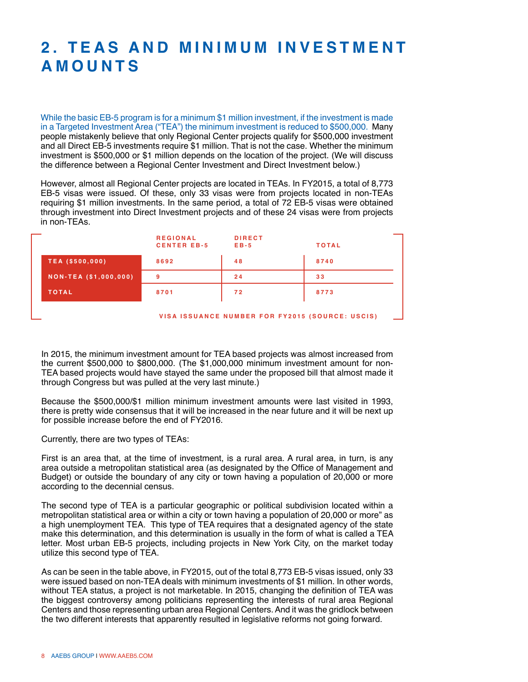### **2. T E A s and Mini m u m I n v e s t me n t Am ounts**

While the basic EB-5 program is for a minimum \$1 million investment, if the investment is made in a Targeted Investment Area ("TEA") the minimum investment is reduced to \$500,000. Many people mistakenly believe that only Regional Center projects qualify for \$500,000 investment and all Direct EB-5 investments require \$1 million. That is not the case. Whether the minimum investment is \$500,000 or \$1 million depends on the location of the project. (We will discuss the difference between a Regional Center Investment and Direct Investment below.)

However, almost all Regional Center projects are located in TEAs. In FY2015, a total of 8,773 EB-5 visas were issued. Of these, only 33 visas were from projects located in non-TEAs requiring \$1 million investments. In the same period, a total of 72 EB-5 visas were obtained through investment into Direct Investment projects and of these 24 visas were from projects in non-TEAs.

| -                            | <b>REGIONAL</b><br><b>CENTER EB-5</b> | <b>DIRECT</b><br>$E B - 5$ | <b>TOTAL</b> |
|------------------------------|---------------------------------------|----------------------------|--------------|
| <b>TEA (\$500,000)</b>       | 8692                                  | 48                         | 8740         |
| <b>NON-TEA (\$1,000,000)</b> | 9                                     | 24                         | 33           |
| <b>TOTAL</b>                 | 8701                                  | 72                         | 8773         |
|                              |                                       |                            |              |

**V isa issuanc e nu m b e r f or F Y 2015 ( S ourc e : USCIS )**

- 1

In 2015, the minimum investment amount for TEA based projects was almost increased from the current \$500,000 to \$800,000. (The \$1,000,000 minimum investment amount for non-TEA based projects would have stayed the same under the proposed bill that almost made it through Congress but was pulled at the very last minute.)

Because the \$500,000/\$1 million minimum investment amounts were last visited in 1993, there is pretty wide consensus that it will be increased in the near future and it will be next up for possible increase before the end of FY2016.

Currently, there are two types of TEAs:

First is an area that, at the time of investment, is a rural area. A rural area, in turn, is any area outside a metropolitan statistical area (as designated by the Office of Management and Budget) or outside the boundary of any city or town having a population of 20,000 or more according to the decennial census.

The second type of TEA is a particular geographic or political subdivision located within a metropolitan statistical area or within a city or town having a population of 20,000 or more" as a high unemployment TEA. This type of TEA requires that a designated agency of the state make this determination, and this determination is usually in the form of what is called a TEA letter. Most urban EB-5 projects, including projects in New York City, on the market today utilize this second type of TEA.

As can be seen in the table above, in FY2015, out of the total 8,773 EB-5 visas issued, only 33 were issued based on non-TEA deals with minimum investments of \$1 million. In other words, without TEA status, a project is not marketable. In 2015, changing the definition of TEA was the biggest controversy among politicians representing the interests of rural area Regional Centers and those representing urban area Regional Centers. And it was the gridlock between the two different interests that apparently resulted in legislative reforms not going forward.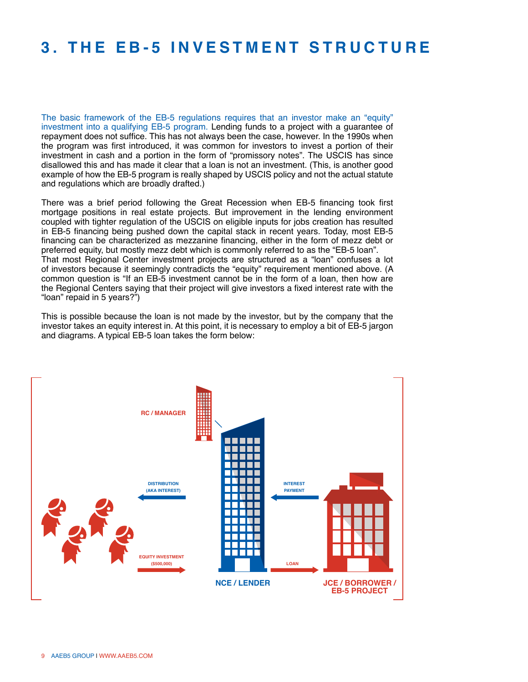#### **3. T h e E B -5 I n v e s t me nt S tructur e**

The basic framework of the EB-5 regulations requires that an investor make an "equity" investment into a qualifying EB-5 program. Lending funds to a project with a guarantee of repayment does not suffice. This has not always been the case, however. In the 1990s when the program was first introduced, it was common for investors to invest a portion of their investment in cash and a portion in the form of "promissory notes". The USCIS has since disallowed this and has made it clear that a loan is not an investment. (This, is another good example of how the EB-5 program is really shaped by USCIS policy and not the actual statute and regulations which are broadly drafted.)

There was a brief period following the Great Recession when EB-5 financing took first mortgage positions in real estate projects. But improvement in the lending environment coupled with tighter regulation of the USCIS on eligible inputs for jobs creation has resulted in EB-5 financing being pushed down the capital stack in recent years. Today, most EB-5 financing can be characterized as mezzanine financing, either in the form of mezz debt or preferred equity, but mostly mezz debt which is commonly referred to as the "EB-5 loan". That most Regional Center investment projects are structured as a "loan" confuses a lot of investors because it seemingly contradicts the "equity" requirement mentioned above. (A common question is "If an EB-5 investment cannot be in the form of a loan, then how are the Regional Centers saying that their project will give investors a fixed interest rate with the "loan" repaid in 5 years?")

This is possible because the loan is not made by the investor, but by the company that the investor takes an equity interest in. At this point, it is necessary to employ a bit of EB-5 jargon and diagrams. A typical EB-5 loan takes the form below:

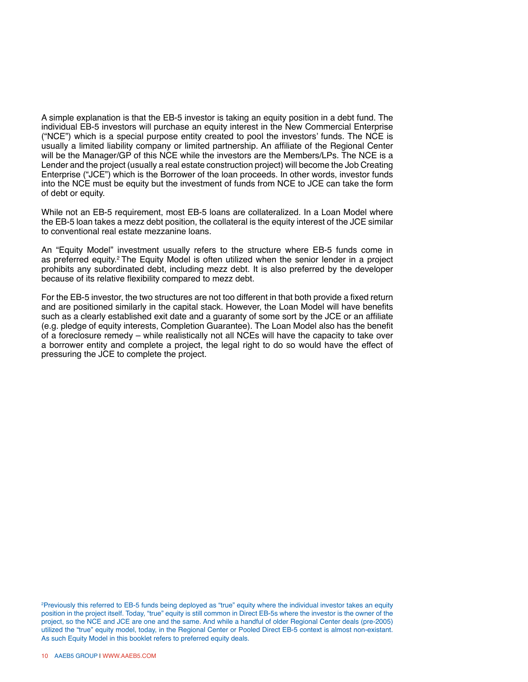A simple explanation is that the EB-5 investor is taking an equity position in a debt fund. The individual EB-5 investors will purchase an equity interest in the New Commercial Enterprise ("NCE") which is a special purpose entity created to pool the investors' funds. The NCE is usually a limited liability company or limited partnership. An affiliate of the Regional Center will be the Manager/GP of this NCE while the investors are the Members/LPs. The NCE is a Lender and the project (usually a real estate construction project) will become the Job Creating Enterprise ("JCE") which is the Borrower of the loan proceeds. In other words, investor funds into the NCE must be equity but the investment of funds from NCE to JCE can take the form of debt or equity.

While not an EB-5 requirement, most EB-5 loans are collateralized. In a Loan Model where the EB-5 loan takes a mezz debt position, the collateral is the equity interest of the JCE similar to conventional real estate mezzanine loans.

An "Equity Model" investment usually refers to the structure where EB-5 funds come in as preferred equity.<sup>2</sup> The Equity Model is often utilized when the senior lender in a project prohibits any subordinated debt, including mezz debt. It is also preferred by the developer because of its relative flexibility compared to mezz debt.

For the EB-5 investor, the two structures are not too different in that both provide a fixed return and are positioned similarly in the capital stack. However, the Loan Model will have benefits such as a clearly established exit date and a guaranty of some sort by the JCE or an affiliate (e.g. pledge of equity interests, Completion Guarantee). The Loan Model also has the benefit of a foreclosure remedy – while realistically not all NCEs will have the capacity to take over a borrower entity and complete a project, the legal right to do so would have the effect of pressuring the JCE to complete the project.

2 Previously this referred to EB-5 funds being deployed as "true" equity where the individual investor takes an equity position in the project itself. Today, "true" equity is still common in Direct EB-5s where the investor is the owner of the project, so the NCE and JCE are one and the same. And while a handful of older Regional Center deals (pre-2005) utilized the "true" equity model, today, in the Regional Center or Pooled Direct EB-5 context is almost non-existant. As such Equity Model in this booklet refers to preferred equity deals.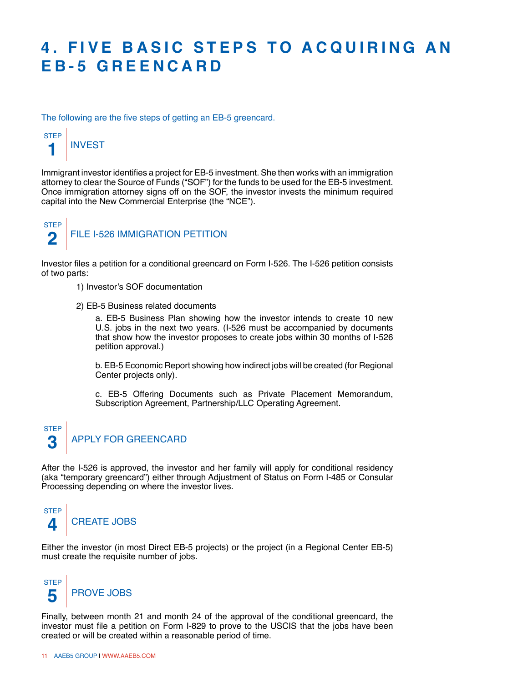### **4. FIVE BASIC STEPS TO ACQUIRING AN E B -5 G r ee ncard**

The following are the five steps of getting an EB-5 greencard.



Immigrant investor identifies a project for EB-5 investment. She then works with an immigration attorney to clear the Source of Funds ("SOF") for the funds to be used for the EB-5 investment. Once immigration attorney signs off on the SOF, the investor invests the minimum required capital into the New Commercial Enterprise (the "NCE").



Investor files a petition for a conditional greencard on Form I-526. The I-526 petition consists of two parts:

- 1) Investor's SOF documentation
- 2) EB-5 Business related documents

a. EB-5 Business Plan showing how the investor intends to create 10 new U.S. jobs in the next two years. (I-526 must be accompanied by documents that show how the investor proposes to create jobs within 30 months of I-526 petition approval.)

b. EB-5 Economic Report showing how indirect jobs will be created (for Regional Center projects only).

c. EB-5 Offering Documents such as Private Placement Memorandum, Subscription Agreement, Partnership/LLC Operating Agreement.



After the I-526 is approved, the investor and her family will apply for conditional residency (aka "temporary greencard") either through Adjustment of Status on Form I-485 or Consular Processing depending on where the investor lives.



Either the investor (in most Direct EB-5 projects) or the project (in a Regional Center EB-5) must create the requisite number of jobs.



Finally, between month 21 and month 24 of the approval of the conditional greencard, the investor must file a petition on Form I-829 to prove to the USCIS that the jobs have been created or will be created within a reasonable period of time.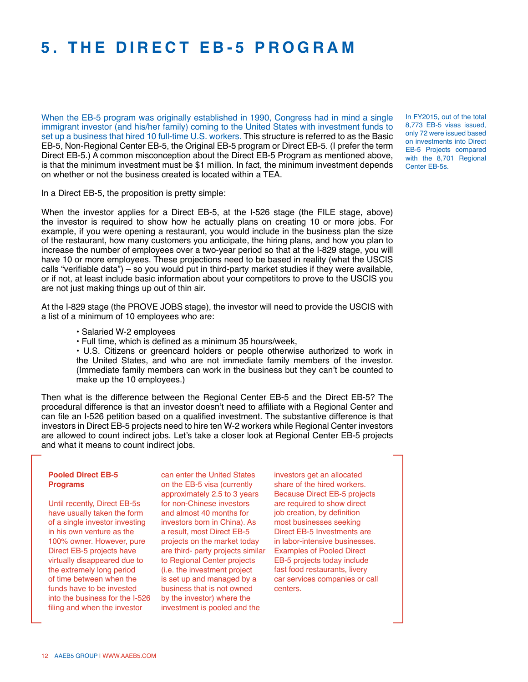### **5. T h e D i r e ct E B -5 Progra m**

When the EB-5 program was originally established in 1990, Congress had in mind a single immigrant investor (and his/her family) coming to the United States with investment funds to set up a business that hired 10 full-time U.S. workers. This structure is referred to as the Basic EB-5, Non-Regional Center EB-5, the Original EB-5 program or Direct EB-5. (I prefer the term Direct EB-5.) A common misconception about the Direct EB-5 Program as mentioned above, is that the minimum investment must be \$1 million. In fact, the minimum investment depends on whether or not the business created is located within a TEA.

In FY2015, out of the total 8,773 EB-5 visas issued, only 72 were issued based on investments into Direct EB-5 Projects compared with the 8,701 Regional Center EB-5s.

In a Direct EB-5, the proposition is pretty simple:

When the investor applies for a Direct EB-5, at the I-526 stage (the FILE stage, above) the investor is required to show how he actually plans on creating 10 or more jobs. For example, if you were opening a restaurant, you would include in the business plan the size of the restaurant, how many customers you anticipate, the hiring plans, and how you plan to increase the number of employees over a two-year period so that at the I-829 stage, you will have 10 or more employees. These projections need to be based in reality (what the USCIS calls "verifiable data") – so you would put in third-party market studies if they were available, or if not, at least include basic information about your competitors to prove to the USCIS you are not just making things up out of thin air.

At the I-829 stage (the PROVE JOBS stage), the investor will need to provide the USCIS with a list of a minimum of 10 employees who are:

- Salaried W-2 employees
- Full time, which is defined as a minimum 35 hours/week,

• U.S. Citizens or greencard holders or people otherwise authorized to work in the United States, and who are not immediate family members of the investor. (Immediate family members can work in the business but they can't be counted to make up the 10 employees.)

Then what is the difference between the Regional Center EB-5 and the Direct EB-5? The procedural difference is that an investor doesn't need to affiliate with a Regional Center and can file an I-526 petition based on a qualified investment. The substantive difference is that investors in Direct EB-5 projects need to hire ten W-2 workers while Regional Center investors are allowed to count indirect jobs. Let's take a closer look at Regional Center EB-5 projects and what it means to count indirect jobs.

#### **Pooled Direct EB-5 Programs**

Until recently, Direct EB-5s have usually taken the form of a single investor investing in his own venture as the 100% owner. However, pure Direct EB-5 projects have virtually disappeared due to the extremely long period of time between when the funds have to be invested into the business for the I-526 filing and when the investor

can enter the United States on the EB-5 visa (currently approximately 2.5 to 3 years for non-Chinese investors and almost 40 months for investors born in China). As a result, most Direct EB-5 projects on the market today are third- party projects similar to Regional Center projects (i.e. the investment project is set up and managed by a business that is not owned by the investor) where the investment is pooled and the

investors get an allocated share of the hired workers. Because Direct EB-5 projects are required to show direct job creation, by definition most businesses seeking Direct EB-5 Investments are in labor-intensive businesses. Examples of Pooled Direct EB-5 projects today include fast food restaurants, livery car services companies or call centers.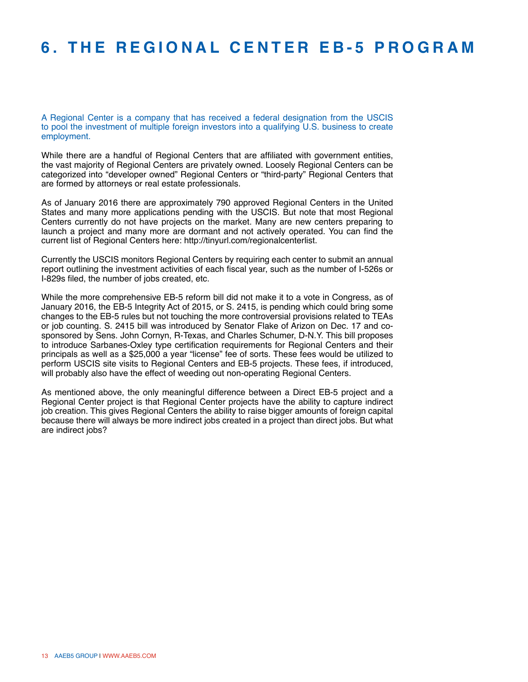### **6. T h e Re gional Ce n t e r E B -5 Progra m**

A Regional Center is a company that has received a federal designation from the USCIS to pool the investment of multiple foreign investors into a qualifying U.S. business to create employment.

While there are a handful of Regional Centers that are affiliated with government entities, the vast majority of Regional Centers are privately owned. Loosely Regional Centers can be categorized into "developer owned" Regional Centers or "third-party" Regional Centers that are formed by attorneys or real estate professionals.

As of January 2016 there are approximately 790 approved Regional Centers in the United States and many more applications pending with the USCIS. But note that most Regional Centers currently do not have projects on the market. Many are new centers preparing to launch a project and many more are dormant and not actively operated. You can find the current list of Regional Centers here: http://tinyurl.com/regionalcenterlist.

Currently the USCIS monitors Regional Centers by requiring each center to submit an annual report outlining the investment activities of each fiscal year, such as the number of I-526s or I-829s filed, the number of jobs created, etc.

While the more comprehensive EB-5 reform bill did not make it to a vote in Congress, as of January 2016, the EB-5 Integrity Act of 2015, or S. 2415, is pending which could bring some changes to the EB-5 rules but not touching the more controversial provisions related to TEAs or job counting. S. 2415 bill was introduced by Senator Flake of Arizon on Dec. 17 and cosponsored by Sens. John Cornyn, R-Texas, and Charles Schumer, D-N.Y. This bill proposes to introduce Sarbanes-Oxley type certification requirements for Regional Centers and their principals as well as a \$25,000 a year "license" fee of sorts. These fees would be utilized to perform USCIS site visits to Regional Centers and EB-5 projects. These fees, if introduced, will probably also have the effect of weeding out non-operating Regional Centers.

As mentioned above, the only meaningful difference between a Direct EB-5 project and a Regional Center project is that Regional Center projects have the ability to capture indirect job creation. This gives Regional Centers the ability to raise bigger amounts of foreign capital because there will always be more indirect jobs created in a project than direct jobs. But what are indirect jobs?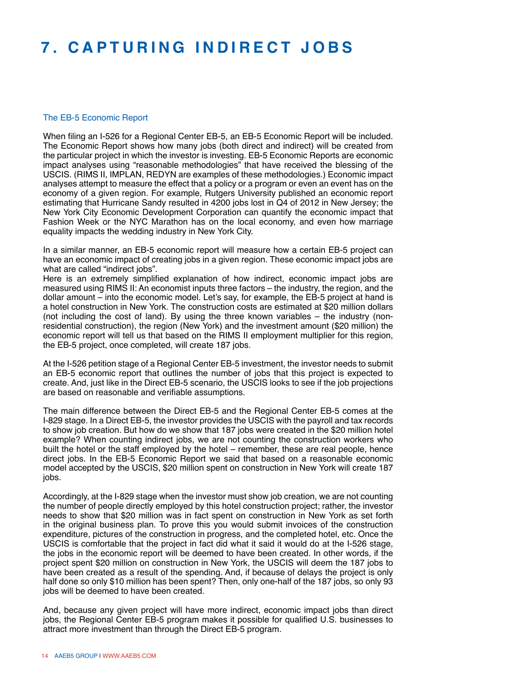### **7. C a p turing I ndir e ct J obs**

#### The EB-5 Economic Report

When filing an I-526 for a Regional Center EB-5, an EB-5 Economic Report will be included. The Economic Report shows how many jobs (both direct and indirect) will be created from the particular project in which the investor is investing. EB-5 Economic Reports are economic impact analyses using "reasonable methodologies" that have received the blessing of the USCIS. (RIMS II, IMPLAN, REDYN are examples of these methodologies.) Economic impact analyses attempt to measure the effect that a policy or a program or even an event has on the economy of a given region. For example, Rutgers University published an economic report estimating that Hurricane Sandy resulted in 4200 jobs lost in Q4 of 2012 in New Jersey; the New York City Economic Development Corporation can quantify the economic impact that Fashion Week or the NYC Marathon has on the local economy, and even how marriage equality impacts the wedding industry in New York City.

In a similar manner, an EB-5 economic report will measure how a certain EB-5 project can have an economic impact of creating jobs in a given region. These economic impact jobs are what are called "indirect jobs".

Here is an extremely simplified explanation of how indirect, economic impact jobs are measured using RIMS II: An economist inputs three factors – the industry, the region, and the dollar amount – into the economic model. Let's say, for example, the EB-5 project at hand is a hotel construction in New York. The construction costs are estimated at \$20 million dollars (not including the cost of land). By using the three known variables – the industry (nonresidential construction), the region (New York) and the investment amount (\$20 million) the economic report will tell us that based on the RIMS II employment multiplier for this region, the EB-5 project, once completed, will create 187 jobs.

At the I-526 petition stage of a Regional Center EB-5 investment, the investor needs to submit an EB-5 economic report that outlines the number of jobs that this project is expected to create. And, just like in the Direct EB-5 scenario, the USCIS looks to see if the job projections are based on reasonable and verifiable assumptions.

The main difference between the Direct EB-5 and the Regional Center EB-5 comes at the I-829 stage. In a Direct EB-5, the investor provides the USCIS with the payroll and tax records to show job creation. But how do we show that 187 jobs were created in the \$20 million hotel example? When counting indirect jobs, we are not counting the construction workers who built the hotel or the staff employed by the hotel – remember, these are real people, hence direct jobs. In the EB-5 Economic Report we said that based on a reasonable economic model accepted by the USCIS, \$20 million spent on construction in New York will create 187 jobs.

Accordingly, at the I-829 stage when the investor must show job creation, we are not counting the number of people directly employed by this hotel construction project; rather, the investor needs to show that \$20 million was in fact spent on construction in New York as set forth in the original business plan. To prove this you would submit invoices of the construction expenditure, pictures of the construction in progress, and the completed hotel, etc. Once the USCIS is comfortable that the project in fact did what it said it would do at the I-526 stage, the jobs in the economic report will be deemed to have been created. In other words, if the project spent \$20 million on construction in New York, the USCIS will deem the 187 jobs to have been created as a result of the spending. And, if because of delays the project is only half done so only \$10 million has been spent? Then, only one-half of the 187 jobs, so only 93 jobs will be deemed to have been created.

And, because any given project will have more indirect, economic impact jobs than direct jobs, the Regional Center EB-5 program makes it possible for qualified U.S. businesses to attract more investment than through the Direct EB-5 program.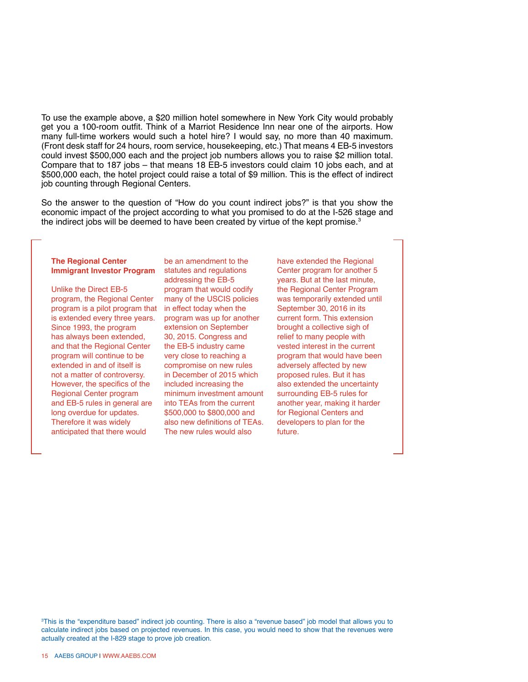To use the example above, a \$20 million hotel somewhere in New York City would probably get you a 100-room outfit. Think of a Marriot Residence Inn near one of the airports. How many full-time workers would such a hotel hire? I would say, no more than 40 maximum. (Front desk staff for 24 hours, room service, housekeeping, etc.) That means 4 EB-5 investors could invest \$500,000 each and the project job numbers allows you to raise \$2 million total. Compare that to 187 jobs – that means 18 EB-5 investors could claim 10 jobs each, and at \$500,000 each, the hotel project could raise a total of \$9 million. This is the effect of indirect job counting through Regional Centers.

So the answer to the question of "How do you count indirect jobs?" is that you show the economic impact of the project according to what you promised to do at the I-526 stage and the indirect jobs will be deemed to have been created by virtue of the kept promise.<sup>3</sup>

#### **The Regional Center Immigrant Investor Program**

Unlike the Direct EB-5 program, the Regional Center program is a pilot program that is extended every three years. Since 1993, the program has always been extended, and that the Regional Center program will continue to be extended in and of itself is not a matter of controversy. However, the specifics of the Regional Center program and EB-5 rules in general are long overdue for updates. Therefore it was widely anticipated that there would

be an amendment to the statutes and regulations addressing the EB-5 program that would codify many of the USCIS policies in effect today when the program was up for another extension on September 30, 2015. Congress and the EB-5 industry came very close to reaching a compromise on new rules in December of 2015 which included increasing the minimum investment amount into TEAs from the current \$500,000 to \$800,000 and also new definitions of TEAs. The new rules would also

have extended the Regional Center program for another 5 years. But at the last minute, the Regional Center Program was temporarily extended until September 30, 2016 in its current form. This extension brought a collective sigh of relief to many people with vested interest in the current program that would have been adversely affected by new proposed rules. But it has also extended the uncertainty surrounding EB-5 rules for another year, making it harder for Regional Centers and developers to plan for the future.

3 This is the "expenditure based" indirect job counting. There is also a "revenue based" job model that allows you to calculate indirect jobs based on projected revenues. In this case, you would need to show that the revenues were actually created at the I-829 stage to prove job creation.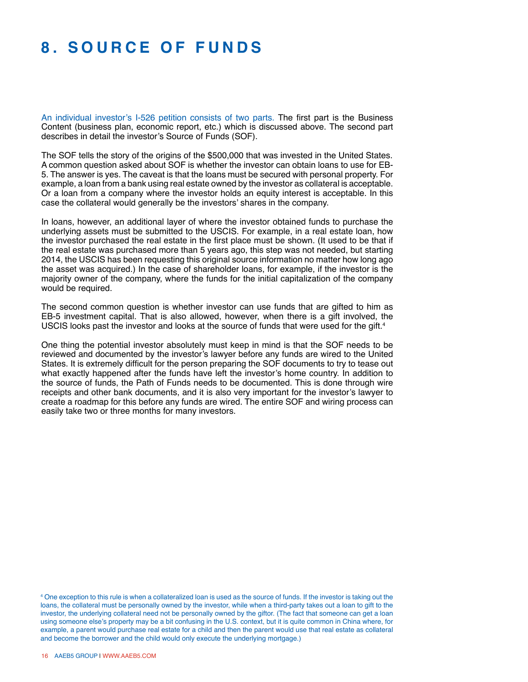### **8. S ourc e o f Funds**

An individual investor's I-526 petition consists of two parts. The first part is the Business Content (business plan, economic report, etc.) which is discussed above. The second part describes in detail the investor's Source of Funds (SOF).

The SOF tells the story of the origins of the \$500,000 that was invested in the United States. A common question asked about SOF is whether the investor can obtain loans to use for EB-5. The answer is yes. The caveat is that the loans must be secured with personal property. For example, a loan from a bank using real estate owned by the investor as collateral is acceptable. Or a loan from a company where the investor holds an equity interest is acceptable. In this case the collateral would generally be the investors' shares in the company.

In loans, however, an additional layer of where the investor obtained funds to purchase the underlying assets must be submitted to the USCIS. For example, in a real estate loan, how the investor purchased the real estate in the first place must be shown. (It used to be that if the real estate was purchased more than 5 years ago, this step was not needed, but starting 2014, the USCIS has been requesting this original source information no matter how long ago the asset was acquired.) In the case of shareholder loans, for example, if the investor is the majority owner of the company, where the funds for the initial capitalization of the company would be required.

The second common question is whether investor can use funds that are gifted to him as EB-5 investment capital. That is also allowed, however, when there is a gift involved, the USCIS looks past the investor and looks at the source of funds that were used for the gift.<sup>4</sup>

One thing the potential investor absolutely must keep in mind is that the SOF needs to be reviewed and documented by the investor's lawyer before any funds are wired to the United States. It is extremely difficult for the person preparing the SOF documents to try to tease out what exactly happened after the funds have left the investor's home country. In addition to the source of funds, the Path of Funds needs to be documented. This is done through wire receipts and other bank documents, and it is also very important for the investor's lawyer to create a roadmap for this before any funds are wired. The entire SOF and wiring process can easily take two or three months for many investors.

<sup>4</sup> One exception to this rule is when a collateralized loan is used as the source of funds. If the investor is taking out the loans, the collateral must be personally owned by the investor, while when a third-party takes out a loan to gift to the investor, the underlying collateral need not be personally owned by the giftor. (The fact that someone can get a loan using someone else's property may be a bit confusing in the U.S. context, but it is quite common in China where, for example, a parent would purchase real estate for a child and then the parent would use that real estate as collateral and become the borrower and the child would only execute the underlying mortgage.)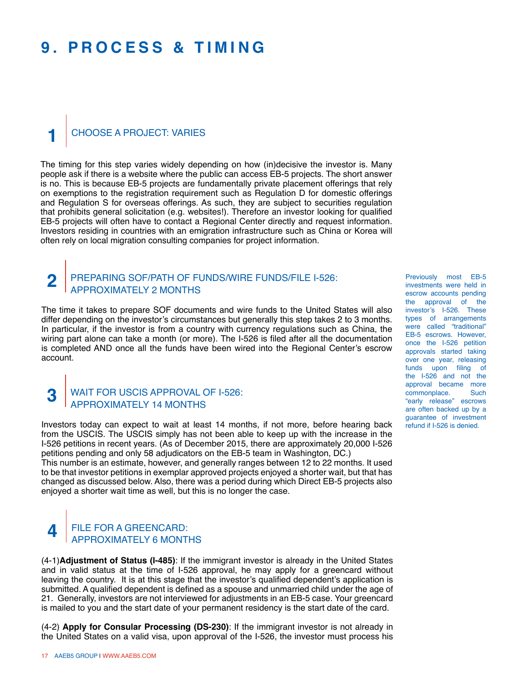### **9. Proc e ss & T i m ing**

#### Choose a Project: Varies **1**

The timing for this step varies widely depending on how (in)decisive the investor is. Many people ask if there is a website where the public can access EB-5 projects. The short answer is no. This is because EB-5 projects are fundamentally private placement offerings that rely on exemptions to the registration requirement such as Regulation D for domestic offerings and Regulation S for overseas offerings. As such, they are subject to securities regulation that prohibits general solicitation (e.g. websites!). Therefore an investor looking for qualified EB-5 projects will often have to contact a Regional Center directly and request information. Investors residing in countries with an emigration infrastructure such as China or Korea will often rely on local migration consulting companies for project information.

#### Preparing SOF/Path of Funds/Wire Funds/File I-526: Approximately 2 months **2**

The time it takes to prepare SOF documents and wire funds to the United States will also differ depending on the investor's circumstances but generally this step takes 2 to 3 months. In particular, if the investor is from a country with currency regulations such as China, the wiring part alone can take a month (or more). The I-526 is filed after all the documentation is completed AND once all the funds have been wired into the Regional Center's escrow account.

#### Wait for USCIS Approval of I-526: Approximately 14 months

**3**

Investors today can expect to wait at least 14 months, if not more, before hearing back from the USCIS. The USCIS simply has not been able to keep up with the increase in the I-526 petitions in recent years. (As of December 2015, there are approximately 20,000 I-526 petitions pending and only 58 adjudicators on the EB-5 team in Washington, DC.)

This number is an estimate, however, and generally ranges between 12 to 22 months. It used to be that investor petitions in exemplar approved projects enjoyed a shorter wait, but that has changed as discussed below. Also, there was a period during which Direct EB-5 projects also enjoyed a shorter wait time as well, but this is no longer the case.

#### FILE FOR A GREENCARD: Approximately 6 months **4**

(4-1)**Adjustment of Status (I-485)**: If the immigrant investor is already in the United States and in valid status at the time of I-526 approval, he may apply for a greencard without leaving the country. It is at this stage that the investor's qualified dependent's application is submitted. A qualified dependent is defined as a spouse and unmarried child under the age of 21. Generally, investors are not interviewed for adjustments in an EB-5 case. Your greencard is mailed to you and the start date of your permanent residency is the start date of the card.

(4-2) **Apply for Consular Processing (DS-230)**: If the immigrant investor is not already in the United States on a valid visa, upon approval of the I-526, the investor must process his

Previously most EB-5 investments were held in escrow accounts pending the approval of the investor's I-526. These types of arrangements were called "traditional" EB-5 escrows. However, once the I-526 petition approvals started taking over one year, releasing funds upon filing of the I-526 and not the approval became more<br>commonplace. Such commonplace. "early release" escrows are often backed up by a guarantee of investment refund if I-526 is denied.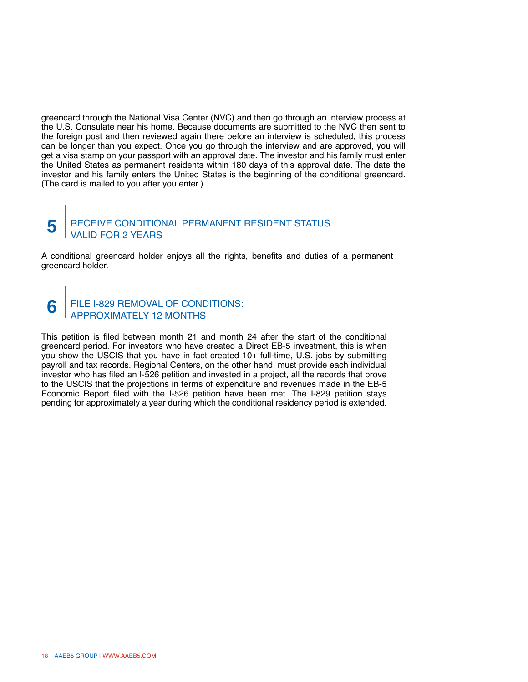greencard through the National Visa Center (NVC) and then go through an interview process at the U.S. Consulate near his home. Because documents are submitted to the NVC then sent to the foreign post and then reviewed again there before an interview is scheduled, this process can be longer than you expect. Once you go through the interview and are approved, you will get a visa stamp on your passport with an approval date. The investor and his family must enter the United States as permanent residents within 180 days of this approval date. The date the investor and his family enters the United States is the beginning of the conditional greencard. (The card is mailed to you after you enter.)

#### Receive Conditional Permanent Resident Status VALID FOR 2 YE **5**

A conditional greencard holder enjoys all the rights, benefits and duties of a permanent greencard holder.

#### File I-829 Removal of Conditions: Approximately 12 months **6**

This petition is filed between month 21 and month 24 after the start of the conditional greencard period. For investors who have created a Direct EB-5 investment, this is when you show the USCIS that you have in fact created 10+ full-time, U.S. jobs by submitting payroll and tax records. Regional Centers, on the other hand, must provide each individual investor who has filed an I-526 petition and invested in a project, all the records that prove to the USCIS that the projections in terms of expenditure and revenues made in the EB-5 Economic Report filed with the I-526 petition have been met. The I-829 petition stays pending for approximately a year during which the conditional residency period is extended.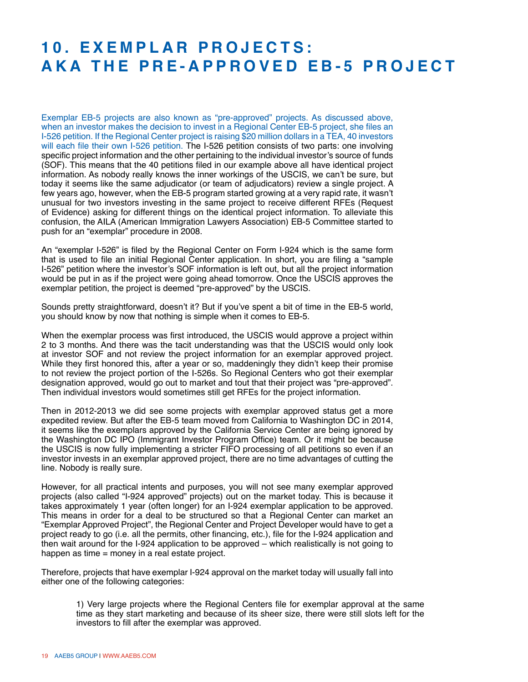#### 10. EXEMPLAR PROJECTS: **A K A th e Pr e - App rov e d E B -5 Proj e c t**

Exemplar EB-5 projects are also known as "pre-approved" projects. As discussed above, when an investor makes the decision to invest in a Regional Center EB-5 project, she files an I-526 petition. If the Regional Center project is raising \$20 million dollars in a TEA, 40 investors will each file their own I-526 petition. The I-526 petition consists of two parts: one involving specific project information and the other pertaining to the individual investor's source of funds (SOF). This means that the 40 petitions filed in our example above all have identical project information. As nobody really knows the inner workings of the USCIS, we can't be sure, but today it seems like the same adjudicator (or team of adjudicators) review a single project. A few years ago, however, when the EB-5 program started growing at a very rapid rate, it wasn't unusual for two investors investing in the same project to receive different RFEs (Request of Evidence) asking for different things on the identical project information. To alleviate this confusion, the AILA (American Immigration Lawyers Association) EB-5 Committee started to push for an "exemplar" procedure in 2008.

An "exemplar I-526" is filed by the Regional Center on Form I-924 which is the same form that is used to file an initial Regional Center application. In short, you are filing a "sample I-526" petition where the investor's SOF information is left out, but all the project information would be put in as if the project were going ahead tomorrow. Once the USCIS approves the exemplar petition, the project is deemed "pre-approved" by the USCIS.

Sounds pretty straightforward, doesn't it? But if you've spent a bit of time in the EB-5 world, you should know by now that nothing is simple when it comes to EB-5.

When the exemplar process was first introduced, the USCIS would approve a project within 2 to 3 months. And there was the tacit understanding was that the USCIS would only look at investor SOF and not review the project information for an exemplar approved project. While they first honored this, after a year or so, maddeningly they didn't keep their promise to not review the project portion of the I-526s. So Regional Centers who got their exemplar designation approved, would go out to market and tout that their project was "pre-approved". Then individual investors would sometimes still get RFEs for the project information.

Then in 2012-2013 we did see some projects with exemplar approved status get a more expedited review. But after the EB-5 team moved from California to Washington DC in 2014, it seems like the exemplars approved by the California Service Center are being ignored by the Washington DC IPO (Immigrant Investor Program Office) team. Or it might be because the USCIS is now fully implementing a stricter FIFO processing of all petitions so even if an investor invests in an exemplar approved project, there are no time advantages of cutting the line. Nobody is really sure.

However, for all practical intents and purposes, you will not see many exemplar approved projects (also called "I-924 approved" projects) out on the market today. This is because it takes approximately 1 year (often longer) for an I-924 exemplar application to be approved. This means in order for a deal to be structured so that a Regional Center can market an "Exemplar Approved Project", the Regional Center and Project Developer would have to get a project ready to go (i.e. all the permits, other financing, etc.), file for the I-924 application and then wait around for the I-924 application to be approved – which realistically is not going to happen as time = money in a real estate project.

Therefore, projects that have exemplar I-924 approval on the market today will usually fall into either one of the following categories:

1) Very large projects where the Regional Centers file for exemplar approval at the same time as they start marketing and because of its sheer size, there were still slots left for the investors to fill after the exemplar was approved.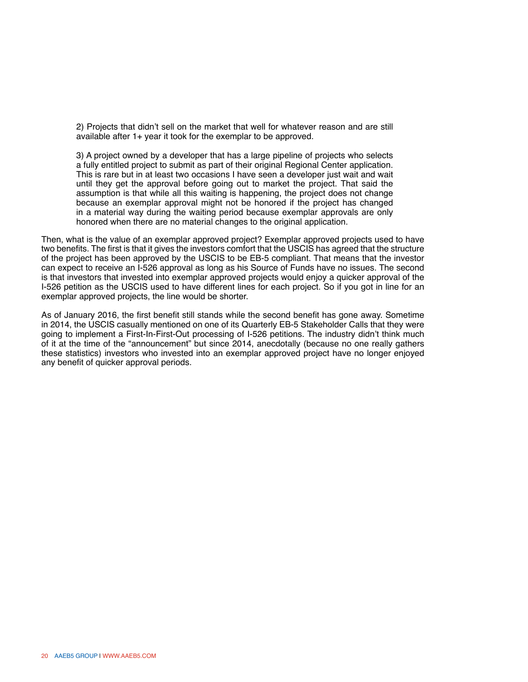2) Projects that didn't sell on the market that well for whatever reason and are still available after 1+ year it took for the exemplar to be approved.

3) A project owned by a developer that has a large pipeline of projects who selects a fully entitled project to submit as part of their original Regional Center application. This is rare but in at least two occasions I have seen a developer just wait and wait until they get the approval before going out to market the project. That said the assumption is that while all this waiting is happening, the project does not change because an exemplar approval might not be honored if the project has changed in a material way during the waiting period because exemplar approvals are only honored when there are no material changes to the original application.

Then, what is the value of an exemplar approved project? Exemplar approved projects used to have two benefits. The first is that it gives the investors comfort that the USCIS has agreed that the structure of the project has been approved by the USCIS to be EB-5 compliant. That means that the investor can expect to receive an I-526 approval as long as his Source of Funds have no issues. The second is that investors that invested into exemplar approved projects would enjoy a quicker approval of the I-526 petition as the USCIS used to have different lines for each project. So if you got in line for an exemplar approved projects, the line would be shorter.

As of January 2016, the first benefit still stands while the second benefit has gone away. Sometime in 2014, the USCIS casually mentioned on one of its Quarterly EB-5 Stakeholder Calls that they were going to implement a First-In-First-Out processing of I-526 petitions. The industry didn't think much of it at the time of the "announcement" but since 2014, anecdotally (because no one really gathers these statistics) investors who invested into an exemplar approved project have no longer enjoyed any benefit of quicker approval periods.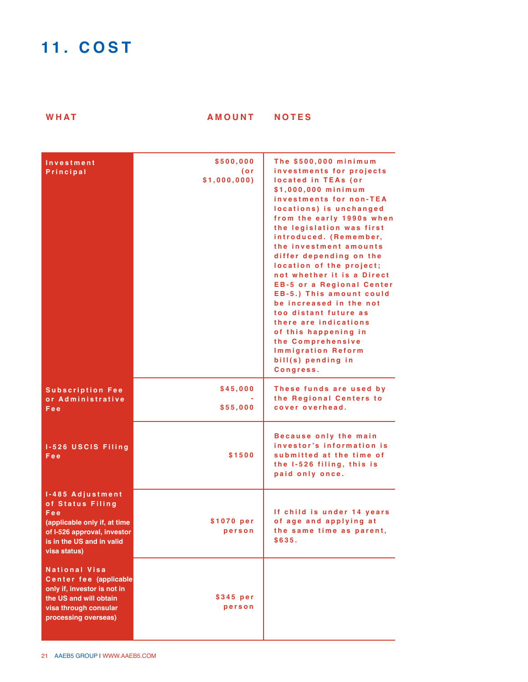## **11. C ost**

**W HAT A M OUNT NOT E S**

| Investment<br>Principal                                                                                                                                  | \$500,000<br>(or<br>\$1,000,000) | The \$500,000 minimum<br>investments for projects<br>located in TEAs (or<br>\$1,000,000 minimum<br>investments for non-TEA<br>locations) is unchanged<br>from the early 1990s when<br>the legislation was first<br>introduced. (Remember,<br>the investment amounts<br>differ depending on the<br>location of the project;<br>not whether it is a Direct<br><b>EB-5 or a Regional Center</b><br>EB-5.) This amount could<br>be increased in the not<br>too distant future as<br>there are indications<br>of this happening in<br>the Comprehensive<br><b>Immigration Reform</b><br>bill(s) pending in<br>Congress. |
|----------------------------------------------------------------------------------------------------------------------------------------------------------|----------------------------------|--------------------------------------------------------------------------------------------------------------------------------------------------------------------------------------------------------------------------------------------------------------------------------------------------------------------------------------------------------------------------------------------------------------------------------------------------------------------------------------------------------------------------------------------------------------------------------------------------------------------|
| <b>Subscription Fee</b><br>or Administrative<br>Fee                                                                                                      | \$45,000<br>\$55,000             | These funds are used by<br>the Regional Centers to<br>cover overhead.                                                                                                                                                                                                                                                                                                                                                                                                                                                                                                                                              |
| 1-526 USCIS Filing<br>Fee                                                                                                                                | \$1500                           | Because only the main<br>investor's information is<br>submitted at the time of<br>the 1-526 filing, this is<br>paid only once.                                                                                                                                                                                                                                                                                                                                                                                                                                                                                     |
| 1-485 Adjustment<br>of Status Filing<br>Fee<br>(applicable only if, at time<br>of I-526 approval, investor<br>is in the US and in valid<br>visa status)  | \$1070 per<br>person             | If child is under 14 years<br>of age and applying at<br>the same time as parent,<br>\$635.                                                                                                                                                                                                                                                                                                                                                                                                                                                                                                                         |
| <b>National Visa</b><br>Center fee (applicable<br>only if, investor is not in<br>the US and will obtain<br>visa through consular<br>processing overseas) | \$345 per<br>person              |                                                                                                                                                                                                                                                                                                                                                                                                                                                                                                                                                                                                                    |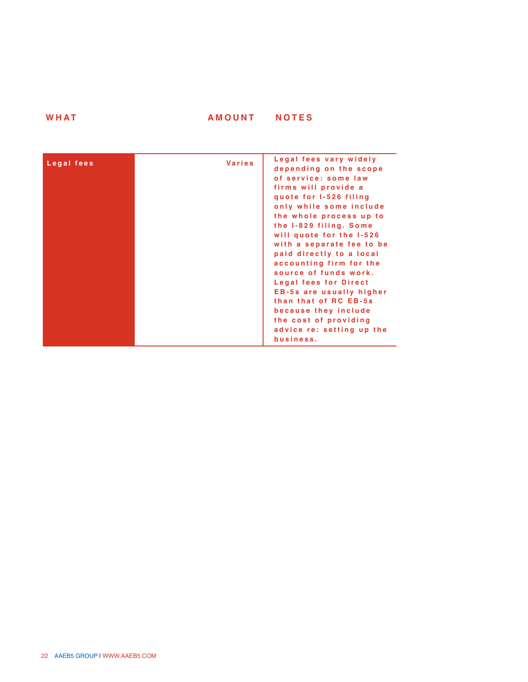| WHAT | <b>AMOUNT</b> | <b>NOTES</b> |
|------|---------------|--------------|
|      |               |              |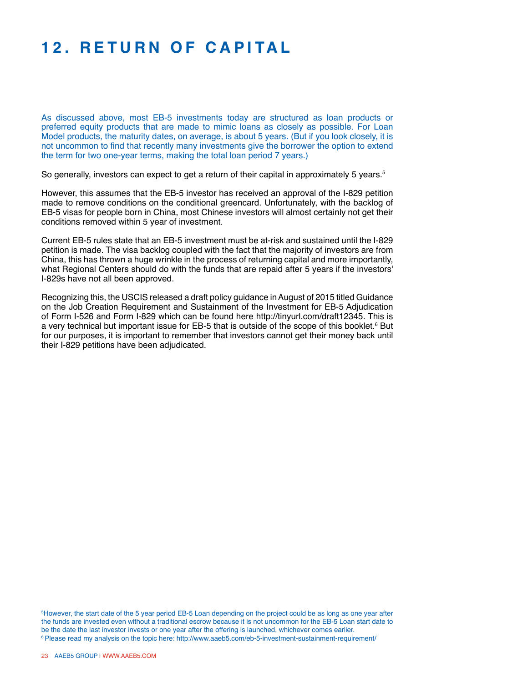### **12. Re turn o f C a p ital**

As discussed above, most EB-5 investments today are structured as loan products or preferred equity products that are made to mimic loans as closely as possible. For Loan Model products, the maturity dates, on average, is about 5 years. (But if you look closely, it is not uncommon to find that recently many investments give the borrower the option to extend the term for two one-year terms, making the total loan period 7 years.)

So generally, investors can expect to get a return of their capital in approximately 5 years.<sup>5</sup>

However, this assumes that the EB-5 investor has received an approval of the I-829 petition made to remove conditions on the conditional greencard. Unfortunately, with the backlog of EB-5 visas for people born in China, most Chinese investors will almost certainly not get their conditions removed within 5 year of investment.

Current EB-5 rules state that an EB-5 investment must be at-risk and sustained until the I-829 petition is made. The visa backlog coupled with the fact that the majority of investors are from China, this has thrown a huge wrinkle in the process of returning capital and more importantly, what Regional Centers should do with the funds that are repaid after 5 years if the investors' I-829s have not all been approved.

Recognizing this, the USCIS released a draft policy guidance in August of 2015 titled Guidance on the Job Creation Requirement and Sustainment of the Investment for EB-5 Adjudication of Form I-526 and Form I-829 which can be found here http://tinyurl.com/draft12345. This is a very technical but important issue for EB-5 that is outside of the scope of this booklet.<sup>6</sup> But for our purposes, it is important to remember that investors cannot get their money back until their I-829 petitions have been adjudicated.

5 However, the start date of the 5 year period EB-5 Loan depending on the project could be as long as one year after the funds are invested even without a traditional escrow because it is not uncommon for the EB-5 Loan start date to be the date the last investor invests or one year after the offering is launched, whichever comes earlier. <sup>6</sup> Please read my analysis on the topic here: http://www.aaeb5.com/eb-5-investment-sustainment-requirement/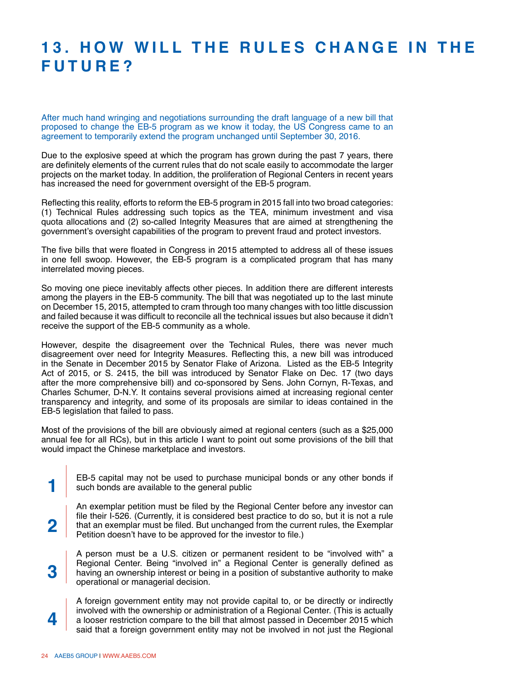#### **13. H o w Will th e R u l e s C hang e in th e Futur e ?**

After much hand wringing and negotiations surrounding the draft language of a new bill that proposed to change the EB-5 program as we know it today, the US Congress came to an agreement to temporarily extend the program unchanged until September 30, 2016.

Due to the explosive speed at which the program has grown during the past 7 years, there are definitely elements of the current rules that do not scale easily to accommodate the larger projects on the market today. In addition, the proliferation of Regional Centers in recent years has increased the need for government oversight of the EB-5 program.

Reflecting this reality, efforts to reform the EB-5 program in 2015 fall into two broad categories: (1) Technical Rules addressing such topics as the TEA, minimum investment and visa quota allocations and (2) so-called Integrity Measures that are aimed at strengthening the government's oversight capabilities of the program to prevent fraud and protect investors.

The five bills that were floated in Congress in 2015 attempted to address all of these issues in one fell swoop. However, the EB-5 program is a complicated program that has many interrelated moving pieces.

So moving one piece inevitably affects other pieces. In addition there are different interests among the players in the EB-5 community. The bill that was negotiated up to the last minute on December 15, 2015, attempted to cram through too many changes with too little discussion and failed because it was difficult to reconcile all the technical issues but also because it didn't receive the support of the EB-5 community as a whole.

However, despite the disagreement over the Technical Rules, there was never much disagreement over need for Integrity Measures. Reflecting this, a new bill was introduced in the Senate in December 2015 by Senator Flake of Arizona. Listed as the EB-5 Integrity Act of 2015, or S. 2415, the bill was introduced by Senator Flake on Dec. 17 (two days after the more comprehensive bill) and co-sponsored by Sens. John Cornyn, R-Texas, and Charles Schumer, D-N.Y. It contains several provisions aimed at increasing regional center transparency and integrity, and some of its proposals are similar to ideas contained in the EB-5 legislation that failed to pass.

Most of the provisions of the bill are obviously aimed at regional centers (such as a \$25,000 annual fee for all RCs), but in this article I want to point out some provisions of the bill that would impact the Chinese marketplace and investors.

EB-5 capital may not be used to purchase municipal bonds or any other bonds if such bonds are available to the general public

An exemplar petition must be filed by the Regional Center before any investor can file their I-526. (Currently, it is considered best practice to do so, but it is not a rule that an exemplar must be filed. But unchanged from the current rules, the Exemplar Petition doesn't have to be approved for the investor to file.)

A person must be a U.S. citizen or permanent resident to be "involved with" a Regional Center. Being "involved in" a Regional Center is generally defined as having an ownership interest or being in a position of substantive authority to make operational or managerial decision.

A foreign government entity may not provide capital to, or be directly or indirectly involved with the ownership or administration of a Regional Center. (This is actually a looser restriction compare to the bill that almost passed in December 2015 which said that a foreign government entity may not be involved in not just the Regional

**1**

**2**

**3**

**4**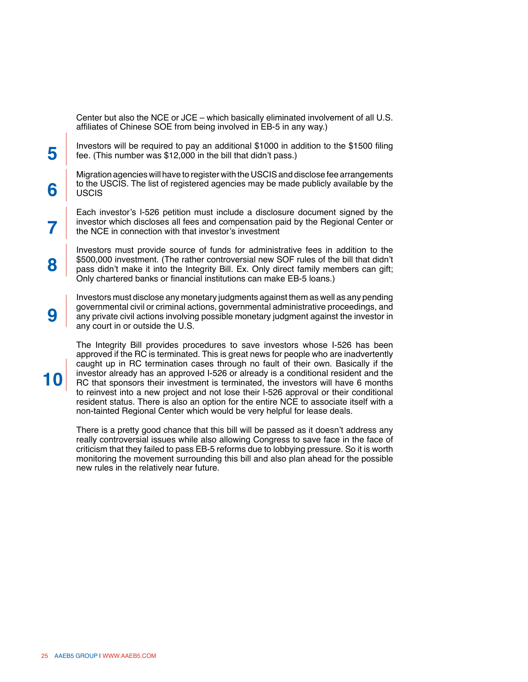Center but also the NCE or JCE – which basically eliminated involvement of all U.S. affiliates of Chinese SOE from being involved in EB-5 in any way.)

Investors will be required to pay an additional \$1000 in addition to the \$1500 filing fee. (This number was \$12,000 in the bill that didn't pass.)

Migration agencies will have to register with the USCIS and disclose fee arrangements to the USCIS. The list of registered agencies may be made publicly available by the **USCIS** 

Each investor's I-526 petition must include a disclosure document signed by the investor which discloses all fees and compensation paid by the Regional Center or the NCE in connection with that investor's investment

Investors must provide source of funds for administrative fees in addition to the \$500,000 investment. (The rather controversial new SOF rules of the bill that didn't pass didn't make it into the Integrity Bill. Ex. Only direct family members can gift; Only chartered banks or financial institutions can make EB-5 loans.)

Investors must disclose any monetary judgments against them as well as any pending governmental civil or criminal actions, governmental administrative proceedings, and any private civil actions involving possible monetary judgment against the investor in any court in or outside the U.S.

The Integrity Bill provides procedures to save investors whose I-526 has been approved if the RC is terminated. This is great news for people who are inadvertently caught up in RC termination cases through no fault of their own. Basically if the investor already has an approved I-526 or already is a conditional resident and the RC that sponsors their investment is terminated, the investors will have 6 months to reinvest into a new project and not lose their I-526 approval or their conditional resident status. There is also an option for the entire NCE to associate itself with a non-tainted Regional Center which would be very helpful for lease deals.

There is a pretty good chance that this bill will be passed as it doesn't address any really controversial issues while also allowing Congress to save face in the face of criticism that they failed to pass EB-5 reforms due to lobbying pressure. So it is worth monitoring the movement surrounding this bill and also plan ahead for the possible new rules in the relatively near future.

**10**

**5**

**6**

**7**

**8**

**9**